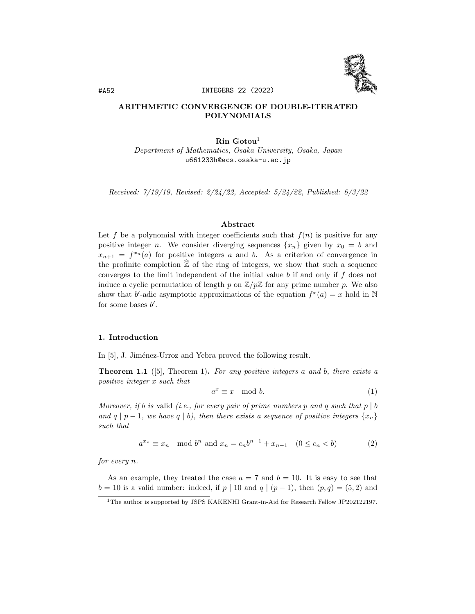

# ARITHMETIC CONVERGENCE OF DOUBLE-ITERATED POLYNOMIALS

### $\mathrm{Rin}$  Gotou<sup>1</sup>

Department of Mathematics, Osaka University, Osaka, Japan u661233h@ecs.osaka-u.ac.jp

Received: 7/19/19, Revised: 2/24/22, Accepted: 5/24/22, Published: 6/3/22

### Abstract

Let f be a polynomial with integer coefficients such that  $f(n)$  is positive for any positive integer n. We consider diverging sequences  $\{x_n\}$  given by  $x_0 = b$  and  $x_{n+1} = f^{x_n}(a)$  for positive integers a and b. As a criterion of convergence in the profinite completion  $\widehat{\mathbb{Z}}$  of the ring of integers, we show that such a sequence converges to the limit independent of the initial value  $b$  if and only if  $f$  does not induce a cyclic permutation of length p on  $\mathbb{Z}/p\mathbb{Z}$  for any prime number p. We also show that b'-adic asymptotic approximations of the equation  $f^x(a) = x$  hold in N for some bases  $b'$ .

### 1. Introduction

In [5], J. Jiménez-Urroz and Yebra proved the following result.

**Theorem 1.1** ([5], Theorem 1). For any positive integers a and b, there exists a positive integer x such that

$$
a^x \equiv x \mod b. \tag{1}
$$

Moreover, if b is valid (i.e., for every pair of prime numbers p and q such that  $p \mid b$ and q | p − 1, we have q | b), then there exists a sequence of positive integers  $\{x_n\}$ such that

$$
a^{x_n} \equiv x_n \mod b^n \text{ and } x_n = c_n b^{n-1} + x_{n-1} \quad (0 \le c_n < b)
$$
\n(2)

for every n.

As an example, they treated the case  $a = 7$  and  $b = 10$ . It is easy to see that  $b = 10$  is a valid number: indeed, if  $p | 10$  and  $q | (p - 1)$ , then  $(p, q) = (5, 2)$  and

<sup>1</sup>The author is supported by JSPS KAKENHI Grant-in-Aid for Research Fellow JP202122197.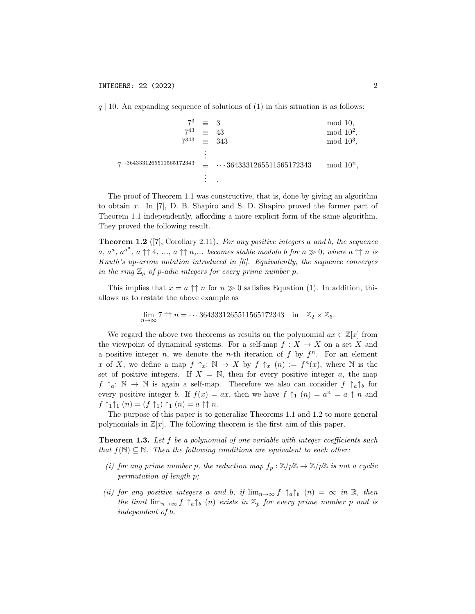$q \mid 10$ . An expanding sequence of solutions of (1) in this situation is as follows:

$$
7^{3} \equiv 3 \mod 10, \n7^{43} \equiv 43 \mod 10^{2}, \n7^{343} \equiv 343 \mod 10^{3}, \n\vdots \n7^{...3643331265511565172343} \equiv ...3643331265511565172343 \mod 10^{n}, \n\vdots
$$

The proof of Theorem 1.1 was constructive, that is, done by giving an algorithm to obtain x. In [7], D. B. Shapiro and S. D. Shapiro proved the former part of Theorem 1.1 independently, affording a more explicit form of the same algorithm. They proved the following result.

**Theorem 1.2** ([7], Corollary 2.11). For any positive integers a and b, the sequence  $a, a^a, a^{a^a}, a \uparrow \uparrow 4, ..., a \uparrow \uparrow n, ...$  becomes stable modulo b for  $n \gg 0$ , where  $a \uparrow \uparrow n$  is Knuth's up-arrow notation introduced in [6]. Equivalently, the sequence converges in the ring  $\mathbb{Z}_p$  of p-adic integers for every prime number p.

This implies that  $x = a \uparrow \uparrow n$  for  $n \gg 0$  satisfies Equation (1). In addition, this allows us to restate the above example as

$$
\lim_{n \to \infty} 7 \uparrow \uparrow n = \cdots 3643331265511565172343 \quad \text{in} \quad \mathbb{Z}_2 \times \mathbb{Z}_5.
$$

We regard the above two theorems as results on the polynomial  $ax \in \mathbb{Z}[x]$  from the viewpoint of dynamical systems. For a self-map  $f: X \to X$  on a set X and a positive integer n, we denote the n-th iteration of f by  $f^n$ . For an element x of X, we define a map  $f \uparrow_x : \mathbb{N} \to X$  by  $f \uparrow_x (n) := f^n(x)$ , where N is the set of positive integers. If  $X = N$ , then for every positive integer a, the map  $f \uparrow_a: \mathbb{N} \to \mathbb{N}$  is again a self-map. Therefore we also can consider  $f \uparrow_a \uparrow_b$  for every positive integer b. If  $f(x) = ax$ , then we have  $f \uparrow_1 (n) = a^n = a \uparrow n$  and  $f \uparrow_1 \uparrow_1 (n) = (f \uparrow_1) \uparrow_1 (n) = a \uparrow \uparrow n.$ 

The purpose of this paper is to generalize Theorems 1.1 and 1.2 to more general polynomials in  $\mathbb{Z}[x]$ . The following theorem is the first aim of this paper.

**Theorem 1.3.** Let f be a polynomial of one variable with integer coefficients such that  $f(\mathbb{N}) \subseteq \mathbb{N}$ . Then the following conditions are equivalent to each other:

- (i) for any prime number p, the reduction map  $f_p : \mathbb{Z}/p\mathbb{Z} \to \mathbb{Z}/p\mathbb{Z}$  is not a cyclic permutation of length p;
- (ii) for any positive integers a and b, if  $\lim_{n\to\infty} f \uparrow_a \uparrow_b (n) = \infty$  in  $\mathbb{R}$ , then the limit  $\lim_{n\to\infty} f \uparrow_a \uparrow_b (n)$  exists in  $\mathbb{Z}_p$  for every prime number p and is independent of b.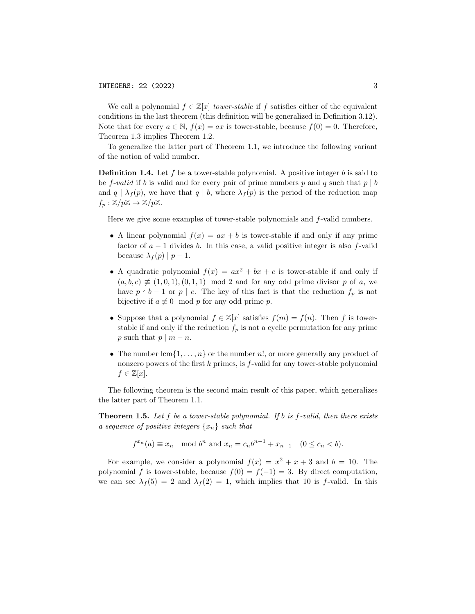We call a polynomial  $f \in \mathbb{Z}[x]$  tower-stable if f satisfies either of the equivalent conditions in the last theorem (this definition will be generalized in Definition 3.12). Note that for every  $a \in \mathbb{N}$ ,  $f(x) = ax$  is tower-stable, because  $f(0) = 0$ . Therefore, Theorem 1.3 implies Theorem 1.2.

To generalize the latter part of Theorem 1.1, we introduce the following variant of the notion of valid number.

**Definition 1.4.** Let f be a tower-stable polynomial. A positive integer b is said to be f-valid if b is valid and for every pair of prime numbers p and q such that  $p \mid b$ and  $q | \lambda_f(p)$ , we have that  $q | b$ , where  $\lambda_f(p)$  is the period of the reduction map  $f_p : \mathbb{Z}/p\mathbb{Z} \to \mathbb{Z}/p\mathbb{Z}.$ 

Here we give some examples of tower-stable polynomials and f-valid numbers.

- A linear polynomial  $f(x) = ax + b$  is tower-stable if and only if any prime factor of  $a - 1$  divides b. In this case, a valid positive integer is also f-valid because  $\lambda_f(p) | p-1$ .
- A quadratic polynomial  $f(x) = ax^2 + bx + c$  is tower-stable if and only if  $(a, b, c) \neq (1, 0, 1), (0, 1, 1) \mod 2$  and for any odd prime divisor p of a, we have  $p \nmid b - 1$  or  $p \mid c$ . The key of this fact is that the reduction  $f_p$  is not bijective if  $a \not\equiv 0 \mod p$  for any odd prime p.
- Suppose that a polynomial  $f \in \mathbb{Z}[x]$  satisfies  $f(m) = f(n)$ . Then f is towerstable if and only if the reduction  $f_p$  is not a cyclic permutation for any prime p such that  $p \mid m - n$ .
- The number  $lcm\{1,\ldots,n\}$  or the number n!, or more generally any product of nonzero powers of the first k primes, is f-valid for any tower-stable polynomial  $f \in \mathbb{Z}[x]$ .

The following theorem is the second main result of this paper, which generalizes the latter part of Theorem 1.1.

**Theorem 1.5.** Let f be a tower-stable polynomial. If b is f-valid, then there exists a sequence of positive integers  $\{x_n\}$  such that

$$
f^{x_n}(a) \equiv x_n \mod b^n
$$
 and  $x_n = c_n b^{n-1} + x_{n-1} \quad (0 \le c_n < b).$ 

For example, we consider a polynomial  $f(x) = x^2 + x + 3$  and  $b = 10$ . The polynomial f is tower-stable, because  $f(0) = f(-1) = 3$ . By direct computation, we can see  $\lambda_f(5) = 2$  and  $\lambda_f(2) = 1$ , which implies that 10 is f-valid. In this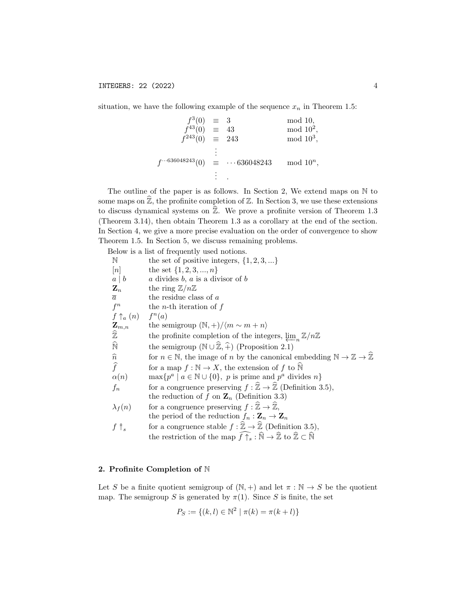situation, we have the following example of the sequence  $x_n$  in Theorem 1.5:

$$
f^{3}(0) \equiv 3 \mod 10,
$$
  
\n
$$
f^{43}(0) \equiv 43 \mod 10^{2},
$$
  
\n
$$
f^{243}(0) \equiv 243 \mod 10^{3},
$$
  
\n
$$
\vdots
$$
  
\n
$$
f^{\cdots 636048243}(0) \equiv \cdots 636048243 \mod 10^{n},
$$
  
\n
$$
\vdots
$$

The outline of the paper is as follows. In Section 2, We extend maps on N to some maps on  $\widehat{\mathbb{Z}}$ , the profinite completion of  $\mathbb{Z}$ . In Section 3, we use these extensions to discuss dynamical systems on  $\hat{\mathbb{Z}}$ . We prove a profinite version of Theorem 1.3 (Theorem 3.14), then obtain Theorem 1.3 as a corollary at the end of the section. In Section 4, we give a more precise evaluation on the order of convergence to show Theorem 1.5. In Section 5, we discuss remaining problems.

Below is a list of frequently used notions.

| N                           | the set of positive integers, $\{1, 2, 3, \}$                                                                                                              |
|-----------------------------|------------------------------------------------------------------------------------------------------------------------------------------------------------|
| [n]                         | the set $\{1, 2, 3, , n\}$                                                                                                                                 |
| $a \mid b$                  | a divides $b, a$ is a divisor of $b$                                                                                                                       |
| $\mathbf{Z}_n$              | the ring $\mathbb{Z}/n\mathbb{Z}$                                                                                                                          |
| $\overline{a}$              | the residue class of $a$                                                                                                                                   |
| $f^n$                       | the <i>n</i> -th iteration of $f$                                                                                                                          |
| $f \uparrow_a (n)$ $f^n(a)$ |                                                                                                                                                            |
| $\mathbf{Z}_{m,n}$          | the semigroup $(\mathbb{N}, +)/\langle m \sim m + n \rangle$                                                                                               |
| $\widehat{\mathbb{Z}}$      | the profinite completion of the integers, $\lim_{n} \mathbb{Z}/n\mathbb{Z}$                                                                                |
| $\widehat{\mathbb{N}}$      | the semigroup $(\mathbb{N} \cup \widehat{\mathbb{Z}}, \widehat{+})$ (Proposition 2.1)                                                                      |
| $\widehat{n}$               | for $n \in \mathbb{N}$ , the image of <i>n</i> by the canonical embedding $\mathbb{N} \to \mathbb{Z} \to \hat{\mathbb{Z}}$                                 |
| $\widehat{f}$               | for a map $f : \mathbb{N} \to X$ , the extension of f to $\mathbb N$                                                                                       |
| $\alpha(n)$                 | $\max\{p^a \mid a \in \mathbb{N} \cup \{0\}, p \text{ is prime and } p^a \text{ divides } n\}$                                                             |
| $f_n$                       | for a congruence preserving $f : \mathbb{Z} \to \mathbb{Z}$ (Definition 3.5),                                                                              |
|                             | the reduction of f on $\mathbf{Z}_n$ (Definition 3.3)                                                                                                      |
| $\lambda_f(n)$              | for a congruence preserving $f : \widehat{\mathbb{Z}} \to \widehat{\mathbb{Z}},$                                                                           |
|                             | the period of the reduction $f_n : \mathbf{Z}_n \to \mathbf{Z}_n$                                                                                          |
| $f \uparrow_s$              | for a congruence stable $f : \widehat{\mathbb{Z}} \to \widehat{\mathbb{Z}}$ (Definition 3.5),                                                              |
|                             | the restriction of the map $\widehat{f} \uparrow_s : \widehat{\mathbb{N}} \to \widehat{\mathbb{Z}}$ to $\widehat{\mathbb{Z}} \subset \widehat{\mathbb{N}}$ |
|                             |                                                                                                                                                            |

## 2. Profinite Completion of N

Let S be a finite quotient semigroup of  $(N, +)$  and let  $\pi : N \to S$  be the quotient map. The semigroup S is generated by  $\pi(1)$ . Since S is finite, the set

$$
P_S := \{(k, l) \in \mathbb{N}^2 \mid \pi(k) = \pi(k + l)\}
$$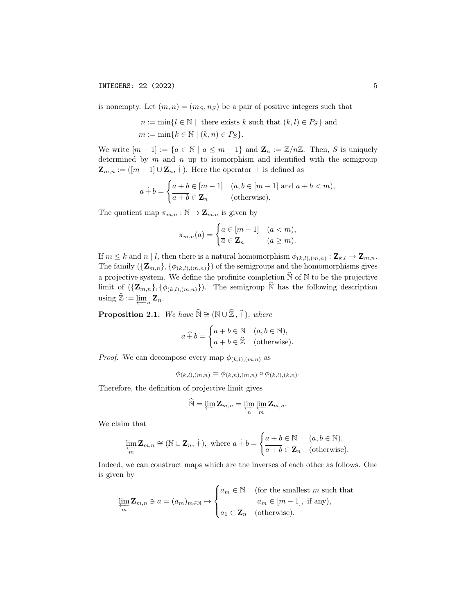is nonempty. Let  $(m, n) = (m<sub>S</sub>, n<sub>S</sub>)$  be a pair of positive integers such that

$$
n := \min\{l \in \mathbb{N} \mid \text{ there exists } k \text{ such that } (k, l) \in P_S\} \text{ and}
$$

$$
m := \min\{k \in \mathbb{N} \mid (k, n) \in P_S\}.
$$

We write  $[m-1] := \{a \in \mathbb{N} \mid a \leq m-1\}$  and  $\mathbb{Z}_n := \mathbb{Z}/n\mathbb{Z}$ . Then, S is uniquely determined by  $m$  and  $n$  up to isomorphism and identified with the semigroup  $\mathbf{Z}_{m,n} := ([m-1] \cup \mathbf{Z}_n, \dot{+}).$  Here the operator  $\dot{+}$  is defined as

$$
a \dot{+} b = \begin{cases} a+b \in [m-1] & (a,b \in [m-1] \text{ and } a+b < m), \\ \overline{a+b} \in \mathbf{Z}_n & \text{(otherwise).} \end{cases}
$$

The quotient map  $\pi_{m,n} : \mathbb{N} \to \mathbf{Z}_{m,n}$  is given by

$$
\pi_{m,n}(a) = \begin{cases} a \in [m-1] & (a < m), \\ \overline{a} \in \mathbf{Z}_n & (a \ge m). \end{cases}
$$

If  $m \leq k$  and  $n \mid l$ , then there is a natural homomorphism  $\phi_{(k,l),(m,n)} : \mathbf{Z}_{k,l} \to \mathbf{Z}_{m,n}$ . The family  $(\{\mathbf{Z}_{m,n}\}, \{\phi_{(k,l),(m,n)}\})$  of the semigroups and the homomorphisms gives a projective system. We define the profinite completion  $\widehat{N}$  of  $N$  to be the projective limit of  $({\{Z_{m,n}\}, {\{\phi_{(k,l),(m,n)}\}}}).$  The semigroup  $\widehat{N}$  has the following description using  $\widehat{\mathbb{Z}} := \varprojlim_n \mathbf{Z}_n$ .

**Proposition 2.1.** We have  $\widehat{N} \cong (N \cup \widehat{Z}, \widehat{+})$ , where

$$
a \widehat{+} b = \begin{cases} a+b \in \mathbb{N} & (a,b \in \mathbb{N}), \\ a+b \in \widehat{\mathbb{Z}} & \text{(otherwise).} \end{cases}
$$

*Proof.* We can decompose every map  $\phi_{(k,l),(m,n)}$  as

$$
\phi_{(k,l),(m,n)} = \phi_{(k,n),(m,n)} \circ \phi_{(k,l),(k,n)}.
$$

Therefore, the definition of projective limit gives

$$
\widehat{\mathbb{N}} = \varprojlim \mathbf{Z}_{m,n} = \varprojlim_n \varprojlim_m \mathbf{Z}_{m,n}.
$$

We claim that

$$
\lim_{m} \mathbf{Z}_{m,n} \cong (\mathbb{N} \cup \mathbf{Z}_n, +), \text{ where } a \dot{+} b = \begin{cases} a+b \in \mathbb{N} & (a, b \in \mathbb{N}), \\ \overline{a+b} \in \mathbf{Z}_n & (\text{otherwise}). \end{cases}
$$

Indeed, we can construct maps which are the inverses of each other as follows. One is given by

$$
\varprojlim_{m} \mathbf{Z}_{m,n} \ni a = (a_m)_{m \in \mathbb{N}} \mapsto \begin{cases} a_m \in \mathbb{N} & \text{ (for the smallest } m \text{ such that } \\ a_m \in [m-1], \text{ if any}), \\ a_1 \in \mathbf{Z}_n & \text{ (otherwise).} \end{cases}
$$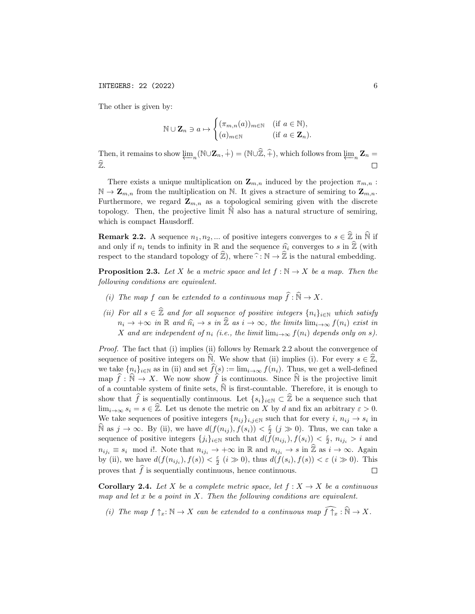INTEGERS: 22 (2022) 6

The other is given by:

$$
\mathbb{N} \cup \mathbf{Z}_n \ni a \mapsto \begin{cases} (\pi_{m,n}(a))_{m \in \mathbb{N}} & (\text{if } a \in \mathbb{N}), \\ (a)_{m \in \mathbb{N}} & (\text{if } a \in \mathbf{Z}_n). \end{cases}
$$

Then, it remains to show  $\varprojlim_n (\mathbb{N} \cup \mathbb{Z}_n, \dotplus) = (\mathbb{N} \cup \widehat{\mathbb{Z}}, \widehat{+}),$  which follows from  $\varprojlim_n \mathbb{Z}_n = \hat{\mathbb{Z}}$  $\widehat{\mathbb{Z}}.$  $\Box$ 

There exists a unique multiplication on  $\mathbf{Z}_{m,n}$  induced by the projection  $\pi_{m,n}$ :  $\mathbb{N} \to \mathbb{Z}_{m,n}$  from the multiplication on  $\mathbb{N}$ . It gives a stracture of semiring to  $\mathbb{Z}_{m,n}$ . Furthermore, we regard  $\mathbf{Z}_{m,n}$  as a topological semiring given with the discrete topology. Then, the projective limit  $\mathbb N$  also has a natural structure of semiring, which is compact Hausdorff.

**Remark 2.2.** A sequence  $n_1, n_2, ...$  of positive integers converges to  $s \in \hat{\mathbb{Z}}$  in  $\hat{\mathbb{N}}$  if and only if  $n_i$  tends to infinity in R and the sequence  $\hat{n_i}$  converges to s in  $\hat{\mathbb{Z}}$  (with respect to the standard topology of  $\hat{\mathbb{Z}}$ ), where  $\hat{\cdot} : \mathbb{N} \to \hat{\mathbb{Z}}$  is the natural embedding.

**Proposition 2.3.** Let X be a metric space and let  $f : \mathbb{N} \to X$  be a map. Then the following conditions are equivalent.

- (i) The map f can be extended to a continuous map  $\widehat{f}: \widehat{\mathbb{N}} \to X$ .
- (ii) For all  $s \in \hat{\mathbb{Z}}$  and for all sequence of positive integers  $\{n_i\}_{i\in\mathbb{N}}$  which satisfy  $n_i \to +\infty$  in R and  $\hat{n_i} \to s$  in  $\hat{\mathbb{Z}}$  as  $i \to \infty$ , the limits  $\lim_{i \to \infty} f(n_i)$  exist in X and are independent of  $n_i$  (i.e., the limit  $\lim_{i\to\infty} f(n_i)$  depends only on s).

Proof. The fact that (i) implies (ii) follows by Remark 2.2 about the convergence of sequence of positive integers on  $\mathbb N$ . We show that (ii) implies (i). For every  $s \in \mathbb Z$ , we take  $\{n_i\}_{i\in\mathbb{N}}$  as in (ii) and set  $\widehat{f}(s) := \lim_{i\to\infty} f(n_i)$ . Thus, we get a well-defined map  $\hat{f} : \mathbb{N} \to X$ . We now show  $\hat{f}$  is continuous. Since  $\mathbb{N}$  is the projective limit of a countable system of finite sets,  $\hat{N}$  is first-countable. Therefore, it is enough to show that  $\widehat{f}$  is sequentially continuous. Let  $\{s_i\}_{i\in\mathbb{N}}\subset \widehat{\mathbb{Z}}$  be a sequence such that  $\lim_{i\to\infty} s_i = s \in \hat{\mathbb{Z}}$ . Let us denote the metric on X by d and fix an arbitrary  $\varepsilon > 0$ . We take sequences of positive integers  $\{n_{ij}\}_{i,j\in\mathbb{N}}$  such that for every  $i, n_{ij} \to s_i$  in  $\widehat{\mathbb{N}}$  as  $j \to \infty$ . By (ii), we have  $d(f(n_{ij}), f(s_i)) < \frac{\varepsilon}{2}$   $(j \gg 0)$ . Thus, we can take a sequence of positive integers  $\{j_i\}_{i\in\mathbb{N}}$  such that  $d(f(n_{ij_i}), f(s_i)) \leq \frac{\varepsilon}{2}$ ,  $n_{ij_i} > i$  and  $n_{ij_i} \equiv s_i \mod i!$ . Note that  $n_{ij_i} \to +\infty$  in  $\mathbb R$  and  $n_{ij_i} \to s$  in  $\widehat{\mathbb Z}$  as  $i \to \infty$ . Again by (ii), we have  $d(f(n_{ij_i}), f(s)) < \frac{\varepsilon}{2}$   $(i \gg 0)$ , thus  $d(f(s_i), f(s)) < \varepsilon$   $(i \gg 0)$ . This proves that  $\hat{f}$  is sequentially continuous, hence continuous.  $\Box$ 

**Corollary 2.4.** Let X be a complete metric space, let  $f : X \to X$  be a continuous map and let  $x$  be a point in  $X$ . Then the following conditions are equivalent.

(i) The map  $f \uparrow_x : \mathbb{N} \to X$  can be extended to a continuous map  $\widehat{f \uparrow_x} : \widehat{\mathbb{N}} \to X$ .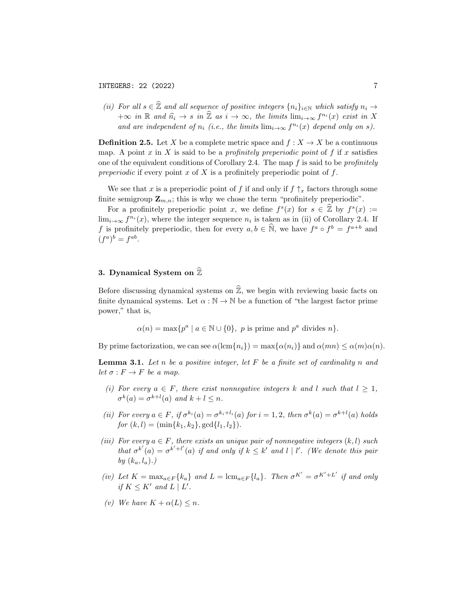(ii) For all  $s \in \hat{\mathbb{Z}}$  and all sequence of positive integers  $\{n_i\}_{i\in\mathbb{N}}$  which satisfy  $n_i \to$  $+\infty$  in R and  $\hat{n_i} \to s$  in  $\hat{\mathbb{Z}}$  as  $i \to \infty$ , the limits  $\lim_{i \to \infty} f^{n_i}(x)$  exist in X and are independent of  $n_i$  (i.e., the limits  $\lim_{i\to\infty} f^{n_i}(x)$  depend only on s).

**Definition 2.5.** Let X be a complete metric space and  $f : X \to X$  be a continuous map. A point x in X is said to be a *profinitely preperiodic point* of f if x satisfies one of the equivalent conditions of Corollary 2.4. The map  $f$  is said to be *profinitely* preperiodic if every point x of X is a profinitely preperiodic point of  $f$ .

We see that x is a preperiodic point of f if and only if  $f \uparrow_x$  factors through some finite semigroup  $\mathbf{Z}_{m,n}$ ; this is why we chose the term "profinitely preperiodic".

For a profinitely preperiodic point x, we define  $f^s(x)$  for  $s \in \hat{\mathbb{Z}}$  by  $f^s(x) :=$  $\lim_{i\to\infty} f^{n_i}(x)$ , where the integer sequence  $n_i$  is taken as in (ii) of Corollary 2.4. If f is profinitely preperiodic, then for every  $a, b \in \hat{\mathbb{N}}$ , we have  $f^a \circ f^b = f^{a+b}$  and  $(f^a)^b = f^{ab}.$ 

# 3. Dynamical System on  $\widehat{\mathbb{Z}}$

Before discussing dynamical systems on  $\widehat{\mathbb{Z}}$ , we begin with reviewing basic facts on finite dynamical systems. Let  $\alpha : \mathbb{N} \to \mathbb{N}$  be a function of "the largest factor prime power," that is,

$$
\alpha(n) = \max\{p^a \mid a \in \mathbb{N} \cup \{0\}, \ p \text{ is prime and } p^a \text{ divides } n\}.
$$

By prime factorization, we can see  $\alpha(\text{lcm}\lbrace n_i \rbrace) = \max\lbrace \alpha(n_i) \rbrace$  and  $\alpha(mn) \leq \alpha(m)\alpha(n)$ .

**Lemma 3.1.** Let n be a positive integer, let  $F$  be a finite set of cardinality n and let  $\sigma : F \to F$  be a map.

- (i) For every  $a \in F$ , there exist nonnegative integers k and l such that  $l \geq 1$ ,  $\sigma^k(a) = \sigma^{k+l}(a)$  and  $k+l \leq n$ .
- (ii) For every  $a \in F$ , if  $\sigma^{k_i}(a) = \sigma^{k_i + l_i}(a)$  for  $i = 1, 2$ , then  $\sigma^k(a) = \sigma^{k+l}(a)$  holds for  $(k, l) = (\min\{k_1, k_2\}, \gcd\{l_1, l_2\}).$
- (iii) For every  $a \in F$ , there exists an unique pair of nonnegative integers  $(k, l)$  such that  $\sigma^{k'}(a) = \sigma^{k'+l'}(a)$  if and only if  $k \leq k'$  and  $l \mid l'$ . (We denote this pair by  $(k_a, l_a)$ .)
- (iv) Let  $K = \max_{a \in F} \{k_a\}$  and  $L = \operatorname{lcm}_{a \in F} \{l_a\}$ . Then  $\sigma^{K'} = \sigma^{K'+L'}$  if and only if  $K \leq K'$  and  $L \mid L'$ .
- (v) We have  $K + \alpha(L) \leq n$ .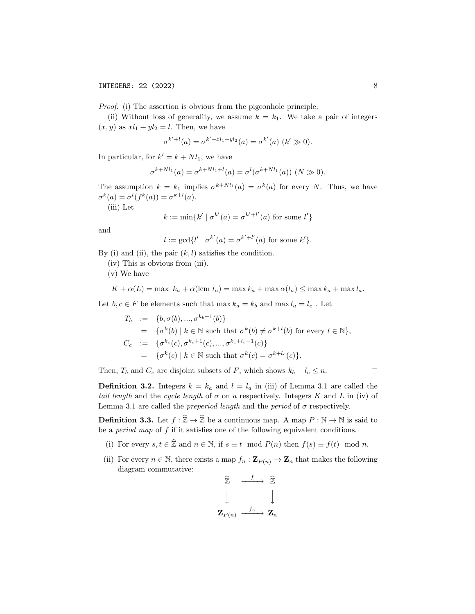Proof. (i) The assertion is obvious from the pigeonhole principle.

(ii) Without loss of generality, we assume  $k = k_1$ . We take a pair of integers  $(x, y)$  as  $xl_1 + yl_2 = l$ . Then, we have

$$
\sigma^{k'+l}(a) = \sigma^{k'+xl_1+yl_2}(a) = \sigma^{k'}(a) \ (k' \gg 0).
$$

In particular, for  $k' = k + Nl_1$ , we have

$$
\sigma^{k+Nl_1}(a) = \sigma^{k+Nl_1+l}(a) = \sigma^l(\sigma^{k+Nl_1}(a)) \ (N \gg 0).
$$

The assumption  $k = k_1$  implies  $\sigma^{k+Nl_1}(a) = \sigma^k(a)$  for every N. Thus, we have  $\sigma^k(a) = \sigma^l(f^k(a)) = \sigma^{k+l}(a).$ 

(iii) Let

$$
k := \min\{k' \mid \sigma^{k'}(a) = \sigma^{k'+l'}(a) \text{ for some } l'\}
$$

and

$$
l := \gcd\{l' \mid \sigma^{k'}(a) = \sigma^{k'+l'}(a) \text{ for some } k'\}.
$$

By (i) and (ii), the pair  $(k, l)$  satisfies the condition.

(iv) This is obvious from (iii).

(v) We have

$$
K + \alpha(L) = \max k_a + \alpha(\text{lcm } l_a) = \max k_a + \max \alpha(l_a) \le \max k_a + \max l_a.
$$

Let  $b, c \in F$  be elements such that max  $k_a = k_b$  and max  $l_a = l_c$ . Let

$$
T_b := \{b, \sigma(b), ..., \sigma^{k_b - 1}(b)\}
$$
  
=  $\{\sigma^k(b) | k \in \mathbb{N} \text{ such that } \sigma^k(b) \neq \sigma^{k+l}(b) \text{ for every } l \in \mathbb{N}\},$   

$$
C_c := \{\sigma^{k_c}(c), \sigma^{k_c+1}(c), ..., \sigma^{k_c+l_c-1}(c)\}
$$
  
=  $\{\sigma^k(c) | k \in \mathbb{N} \text{ such that } \sigma^k(c) = \sigma^{k+l_c}(c)\}.$ 

Then,  $T_b$  and  $C_c$  are disjoint subsets of F, which shows  $k_b + l_c \leq n$ .

 $\Box$ 

**Definition 3.2.** Integers  $k = k_a$  and  $l = l_a$  in (iii) of Lemma 3.1 are called the tail length and the cycle length of  $\sigma$  on a respectively. Integers K and L in (iv) of Lemma 3.1 are called the *preperiod length* and the *period* of  $\sigma$  respectively.

**Definition 3.3.** Let  $f : \hat{\mathbb{Z}} \to \hat{\mathbb{Z}}$  be a continuous map. A map  $P : \mathbb{N} \to \mathbb{N}$  is said to be a *period map* of  $f$  if it satisfies one of the following equivalent conditions.

- (i) For every  $s, t \in \hat{\mathbb{Z}}$  and  $n \in \mathbb{N}$ , if  $s \equiv t \mod P(n)$  then  $f(s) \equiv f(t) \mod n$ .
- (ii) For every  $n \in \mathbb{N}$ , there exists a map  $f_n : \mathbf{Z}_{P(n)} \to \mathbf{Z}_n$  that makes the following diagram commutative:

$$
\begin{array}{ccc}\n\widehat{\mathbb{Z}} & \xrightarrow{f} & \widehat{\mathbb{Z}} \\
\downarrow & & \downarrow \\
\mathbf{Z}_{P(n)} & \xrightarrow{f_n} & \mathbf{Z}_n\n\end{array}
$$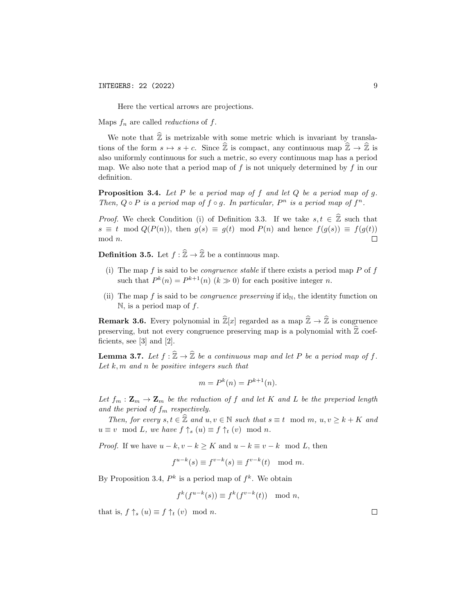Here the vertical arrows are projections.

Maps  $f_n$  are called *reductions* of  $f$ .

We note that  $\hat{\mathbb{Z}}$  is metrizable with some metric which is invariant by translations of the form  $s \mapsto s + c$ . Since  $\hat{\mathbb{Z}}$  is compact, any continuous map  $\hat{\mathbb{Z}} \to \hat{\mathbb{Z}}$  is also uniformly continuous for such a metric, so every continuous map has a period map. We also note that a period map of f is not uniquely determined by f in our definition.

**Proposition 3.4.** Let P be a period map of f and let  $Q$  be a period map of  $q$ . Then,  $Q \circ P$  is a period map of  $f \circ g$ . In particular,  $P^n$  is a period map of  $f^n$ .

*Proof.* We check Condition (i) of Definition 3.3. If we take  $s, t \in \mathbb{Z}$  such that  $s \equiv t \mod Q(P(n))$ , then  $g(s) \equiv g(t) \mod P(n)$  and hence  $f(g(s)) \equiv f(g(t))$ mod n.  $\Box$ 

**Definition 3.5.** Let  $f : \hat{\mathbb{Z}} \to \hat{\mathbb{Z}}$  be a continuous map.

- (i) The map f is said to be *congruence stable* if there exists a period map P of f such that  $P^{k}(n) = P^{k+1}(n)$   $(k \gg 0)$  for each positive integer n.
- (ii) The map f is said to be *congruence preserving* if  $id_N$ , the identity function on  $\mathbb{N}$ , is a period map of f.

**Remark 3.6.** Every polynomial in  $\hat{\mathbb{Z}}[x]$  regarded as a map  $\hat{\mathbb{Z}} \to \hat{\mathbb{Z}}$  is congruence preserving, but not every congruence preserving map is a polynomial with  $\mathbb Z$  coefficients, see [3] and [2].

**Lemma 3.7.** Let  $f : \hat{\mathbb{Z}} \to \hat{\mathbb{Z}}$  be a continuous map and let P be a period map of f. Let  $k, m$  and  $n$  be positive integers such that

$$
m = P^k(n) = P^{k+1}(n).
$$

Let  $f_m: \mathbf{Z}_m \to \mathbf{Z}_m$  be the reduction of f and let K and L be the preperiod length and the period of  $f_m$  respectively.

Then, for every  $s, t \in \mathbb{Z}$  and  $u, v \in \mathbb{N}$  such that  $s \equiv t \mod m$ ,  $u, v \geq k + K$  and  $u \equiv v \mod L$ , we have  $f \uparrow_s (u) \equiv f \uparrow_t (v) \mod n$ .

*Proof.* If we have  $u - k$ ,  $v - k \ge K$  and  $u - k \equiv v - k \mod L$ , then

$$
f^{u-k}(s) \equiv f^{v-k}(s) \equiv f^{v-k}(t) \mod m.
$$

By Proposition 3.4,  $P^k$  is a period map of  $f^k$ . We obtain

$$
f^k(f^{u-k}(s)) \equiv f^k(f^{v-k}(t)) \mod n,
$$

that is,  $f \uparrow_s (u) \equiv f \uparrow_t (v) \mod n$ .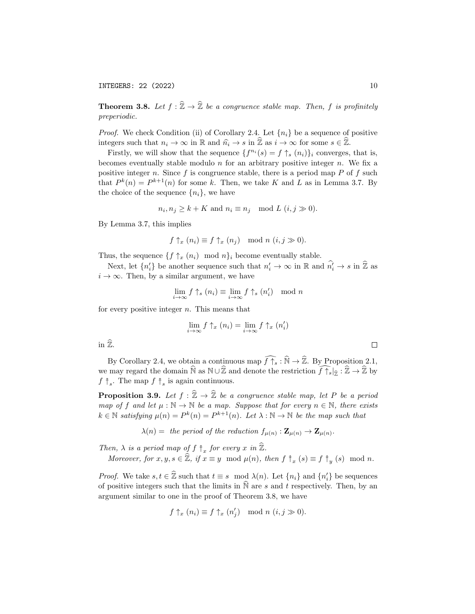INTEGERS:  $22 \left( 2022 \right)$  10

**Theorem 3.8.** Let  $f : \hat{\mathbb{Z}} \to \hat{\mathbb{Z}}$  be a congruence stable map. Then, f is profinitely preperiodic.

*Proof.* We check Condition (ii) of Corollary 2.4. Let  $\{n_i\}$  be a sequence of positive integers such that  $n_i \to \infty$  in R and  $\hat{n_i} \to s$  in  $\hat{\mathbb{Z}}$  as  $i \to \infty$  for some  $s \in \hat{\mathbb{Z}}$ .

Firstly, we will show that the sequence  $\{f^{n_i}(s) = f \uparrow_s (n_i)\}_i$  converges, that is, becomes eventually stable modulo  $n$  for an arbitrary positive integer  $n$ . We fix a positive integer n. Since f is congruence stable, there is a period map  $P$  of f such that  $P^k(n) = P^{k+1}(n)$  for some k. Then, we take K and L as in Lemma 3.7. By the choice of the sequence  $\{n_i\}$ , we have

$$
n_i, n_j \ge k + K \text{ and } n_i \equiv n_j \mod L \ (i, j \gg 0).
$$

By Lemma 3.7, this implies

$$
f \uparrow_x (n_i) \equiv f \uparrow_x (n_j) \mod n \ (i, j \gg 0).
$$

Thus, the sequence  $\{f \uparrow_x (n_i) \mod n\}$  become eventually stable.

Next, let  $\{n'_i\}$  be another sequence such that  $n'_i \to \infty$  in  $\mathbb{R}$  and  $\widehat{n'_i} \to s$  in  $\widehat{\mathbb{Z}}$  as  $i \to \infty$ . Then, by a similar argument, we have

$$
\lim_{i \to \infty} f \uparrow_s (n_i) \equiv \lim_{i \to \infty} f \uparrow_s (n'_i) \mod n
$$

for every positive integer  $n$ . This means that

$$
\lim_{i \to \infty} f \uparrow_x (n_i) = \lim_{i \to \infty} f \uparrow_x (n'_i)
$$

in  $\widehat{\mathbb{Z}}$ .

By Corollary 2.4, we obtain a continuous map  $\widehat{f\uparrow_s} : \widehat{\mathbb{N}} \to \widehat{\mathbb{Z}}$ . By Proposition 2.1, we may regard the domain  $\widehat{N}$  as  $N \cup \widehat{Z}$  and denote the restriction  $\widehat{f \uparrow s}|\widehat{Z} : \widehat{Z} \to \widehat{Z}$  by  $f \uparrow_s$ . The map  $f \uparrow_s$  is again continuous.

**Proposition 3.9.** Let  $f : \hat{\mathbb{Z}} \to \hat{\mathbb{Z}}$  be a congruence stable map, let P be a period map of f and let  $\mu : \mathbb{N} \to \mathbb{N}$  be a map. Suppose that for every  $n \in \mathbb{N}$ , there exists  $k \in \mathbb{N}$  satisfying  $\mu(n) = P^k(n) = P^{k+1}(n)$ . Let  $\lambda : \mathbb{N} \to \mathbb{N}$  be the map such that

 $\lambda(n) =$  the period of the reduction  $f_{\mu(n)} : \mathbf{Z}_{\mu(n)} \to \mathbf{Z}_{\mu(n)}$ .

Then,  $\lambda$  is a period map of  $f \uparrow_x$  for every x in  $\widehat{\mathbb{Z}}$ .

Moreover, for  $x, y, s \in \hat{\mathbb{Z}}$ , if  $x \equiv y \mod \mu(n)$ , then  $f \uparrow_x (s) \equiv f \uparrow_y (s) \mod n$ .

*Proof.* We take  $s, t \in \hat{\mathbb{Z}}$  such that  $t \equiv s \mod \lambda(n)$ . Let  $\{n_i\}$  and  $\{n'_i\}$  be sequences of positive integers such that the limits in  $\overline{N}$  are s and t respectively. Then, by an argument similar to one in the proof of Theorem 3.8, we have

$$
f \uparrow_x (n_i) \equiv f \uparrow_x (n'_j) \mod n \ (i, j \gg 0).
$$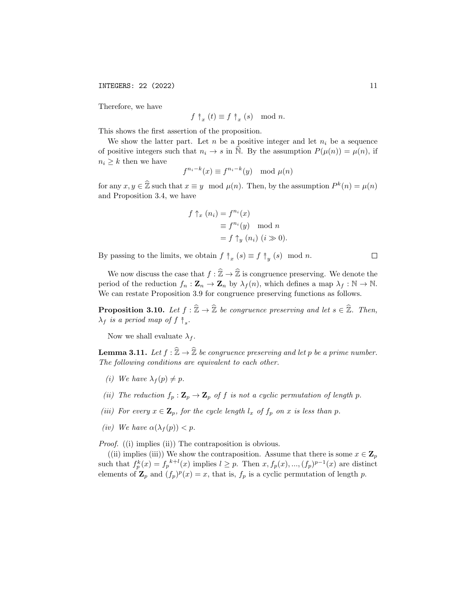INTEGERS: 22 (2022) 11

Therefore, we have

$$
f \uparrow_x (t) \equiv f \uparrow_x (s) \mod n.
$$

This shows the first assertion of the proposition.

We show the latter part. Let  $n$  be a positive integer and let  $n_i$  be a sequence of positive integers such that  $n_i \to s$  in N. By the assumption  $P(\mu(n)) = \mu(n)$ , if  $n_i \geq k$  then we have

$$
f^{n_i-k}(x) \equiv f^{n_i-k}(y) \mod \mu(n)
$$

for any  $x, y \in \hat{\mathbb{Z}}$  such that  $x \equiv y \mod \mu(n)$ . Then, by the assumption  $P^k(n) = \mu(n)$ and Proposition 3.4, we have

$$
f \uparrow_x (n_i) = f^{n_i}(x)
$$
  
\n
$$
\equiv f^{n_i}(y) \mod n
$$
  
\n
$$
= f \uparrow_y (n_i) \ (i \gg 0).
$$

By passing to the limits, we obtain  $f \uparrow_x (s) \equiv f \uparrow_y (s) \mod n$ .

We now discuss the case that 
$$
f : \hat{\mathbb{Z}} \to \hat{\mathbb{Z}}
$$
 is congruence preserving. We denote the  
period of the reduction  $f_n : \mathbf{Z}_n \to \mathbf{Z}_n$  by  $\lambda_f(n)$ , which defines a map  $\lambda_f : \mathbb{N} \to \mathbb{N}$ .  
We can restate Proposition 3.9 for congruence preserving functions as follows.

**Proposition 3.10.** Let  $f : \hat{\mathbb{Z}} \to \hat{\mathbb{Z}}$  be congruence preserving and let  $s \in \hat{\mathbb{Z}}$ . Then,  $\lambda_f$  is a period map of  $f \uparrow_s$ .

Now we shall evaluate  $\lambda_f$ .

**Lemma 3.11.** Let  $f : \hat{\mathbb{Z}} \to \hat{\mathbb{Z}}$  be congruence preserving and let p be a prime number. The following conditions are equivalent to each other.

- (i) We have  $\lambda_f(p) \neq p$ .
- (ii) The reduction  $f_p : \mathbf{Z}_p \to \mathbf{Z}_p$  of f is not a cyclic permutation of length p.
- (iii) For every  $x \in \mathbf{Z}_p$ , for the cycle length  $l_x$  of  $f_p$  on x is less than p.
- (iv) We have  $\alpha(\lambda_f(p)) < p$ .

Proof. ((i) implies (ii)) The contraposition is obvious.

((ii) implies (iii)) We show the contraposition. Assume that there is some  $x \in \mathbf{Z}_n$ such that  $f_p^k(x) = f_p^{k+l}(x)$  implies  $l \geq p$ . Then  $x, f_p(x), ..., (f_p)^{p-1}(x)$  are distinct elements of  $\mathbf{Z}_p$  and  $(f_p)^p(x) = x$ , that is,  $f_p$  is a cyclic permutation of length p.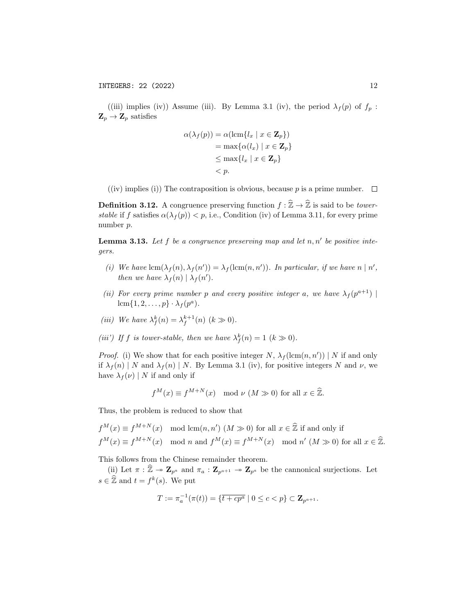((iii) implies (iv)) Assume (iii). By Lemma 3.1 (iv), the period  $\lambda_f(p)$  of  $f_p$ :  $\mathbf{Z}_p \to \mathbf{Z}_p$  satisfies

$$
\alpha(\lambda_f(p)) = \alpha(\operatorname{lcm}\{l_x \mid x \in \mathbf{Z}_p\})
$$
  
= max\{\alpha(l\_x) \mid x \in \mathbf{Z}\_p\}  
\$\leq\$ max\{l\_x \mid x \in \mathbf{Z}\_p\}\$  
\$< p\$.

((iv) implies (i)) The contraposition is obvious, because p is a prime number.  $\Box$ 

**Definition 3.12.** A congruence preserving function  $f : \hat{\mathbb{Z}} \to \hat{\mathbb{Z}}$  is said to be *tower*stable if f satisfies  $\alpha(\lambda_f(p)) < p$ , i.e., Condition (iv) of Lemma 3.11, for every prime number p.

**Lemma 3.13.** Let  $f$  be a congruence preserving map and let  $n, n'$  be positive integers.

- (i) We have  $\text{lcm}(\lambda_f(n), \lambda_f(n')) = \lambda_f(\text{lcm}(n, n'))$ . In particular, if we have  $n | n'$ , then we have  $\lambda_f(n) | \lambda_f(n')$ .
- (ii) For every prime number p and every positive integer a, we have  $\lambda_f(p^{a+1})$ lcm $\{1, 2, \ldots, p\} \cdot \lambda_f(p^a)$ .

(iii) We have 
$$
\lambda_f^k(n) = \lambda_f^{k+1}(n)
$$
  $(k \gg 0)$ .

(iii') If f is tower-stable, then we have  $\lambda_f^k(n) = 1$   $(k \gg 0)$ .

*Proof.* (i) We show that for each positive integer N,  $\lambda_f(\text{lcm}(n, n'))$  | N if and only if  $\lambda_f(n)$  | N and  $\lambda_f(n)$  | N. By Lemma 3.1 (iv), for positive integers N and  $\nu$ , we have  $\lambda_f(\nu) | N$  if and only if

$$
f^{M}(x) \equiv f^{M+N}(x) \mod \nu \ (M \gg 0) \text{ for all } x \in \widehat{\mathbb{Z}}.
$$

Thus, the problem is reduced to show that

$$
f^{M}(x) \equiv f^{M+N}(x) \mod \text{lcm}(n, n') \ (M \gg 0) \text{ for all } x \in \hat{\mathbb{Z}} \text{ if and only if}
$$
  

$$
f^{M}(x) \equiv f^{M+N}(x) \mod n \text{ and } f^{M}(x) \equiv f^{M+N}(x) \mod n' \ (M \gg 0) \text{ for all } x \in \hat{\mathbb{Z}}.
$$

This follows from the Chinese remainder theorem.

(ii) Let  $\pi : \widehat{\mathbb{Z}} \to \mathbb{Z}_{p^a}$  and  $\pi_a : \mathbb{Z}_{p^{a+1}} \to \mathbb{Z}_{p^a}$  be the cannonical surjections. Let  $s \in \hat{\mathbb{Z}}$  and  $t = f^k(s)$ . We put

$$
T := \pi_a^{-1}(\pi(t)) = \{ \overline{t + cp^a} \mid 0 \le c < p \} \subset \mathbf{Z}_{p^{a+1}}.
$$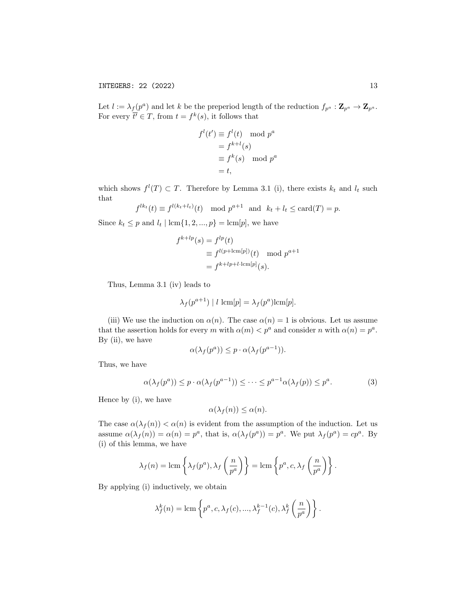Let  $l := \lambda_f(p^a)$  and let k be the preperiod length of the reduction  $f_{p^a} : \mathbf{Z}_{p^a} \to \mathbf{Z}_{p^a}$ . For every  $\overline{t'} \in T$ , from  $t = f^k(s)$ , it follows that

$$
fl(t') \equiv fl(t) \mod pa
$$

$$
= fk+l(s)
$$

$$
\equiv fk(s) \mod pa
$$

$$
= t,
$$

which shows  $f^{(l)}(T) \subset T$ . Therefore by Lemma 3.1 (i), there exists  $k_t$  and  $l_t$  such that

$$
f^{lk_t}(t) \equiv f^{l(k_t+l_t)}(t) \mod p^{a+1} \text{ and } k_t + l_t \le \text{card}(T) = p.
$$

Since  $k_t \leq p$  and  $l_t | \operatorname{lcm} \{1, 2, ..., p\} = \operatorname{lcm}[p]$ , we have

$$
f^{k+lp}(s) = f^{lp}(t)
$$
  
\n
$$
\equiv f^{l(p+\text{lcm}[p])}(t) \mod p^{a+1}
$$
  
\n
$$
= f^{k+lp+l\cdot\text{lcm}[p]}(s).
$$

Thus, Lemma 3.1 (iv) leads to

$$
\lambda_f(p^{a+1}) \mid l \, \operatorname{lcm}[p] = \lambda_f(p^a) \operatorname{lcm}[p].
$$

(iii) We use the induction on  $\alpha(n)$ . The case  $\alpha(n) = 1$  is obvious. Let us assume that the assertion holds for every m with  $\alpha(m) < p^a$  and consider n with  $\alpha(n) = p^a$ . By (ii), we have

$$
\alpha(\lambda_f(p^a)) \le p \cdot \alpha(\lambda_f(p^{a-1})).
$$

Thus, we have

$$
\alpha(\lambda_f(p^a)) \le p \cdot \alpha(\lambda_f(p^{a-1})) \le \dots \le p^{a-1}\alpha(\lambda_f(p)) \le p^a. \tag{3}
$$

Hence by (i), we have

$$
\alpha(\lambda_f(n)) \le \alpha(n).
$$

The case  $\alpha(\lambda_f(n)) < \alpha(n)$  is evident from the assumption of the induction. Let us assume  $\alpha(\lambda_f(n)) = \alpha(n) = p^a$ , that is,  $\alpha(\lambda_f(p^a)) = p^a$ . We put  $\lambda_f(p^a) = cp^a$ . By (i) of this lemma, we have

$$
\lambda_f(n) = \text{lcm}\left\{\lambda_f(p^a), \lambda_f\left(\frac{n}{p^a}\right)\right\} = \text{lcm}\left\{p^a, c, \lambda_f\left(\frac{n}{p^a}\right)\right\}.
$$

By applying (i) inductively, we obtain

$$
\lambda_f^k(n) = \text{lcm}\left\{p^a, c, \lambda_f(c), ..., \lambda_f^{k-1}(c), \lambda_f^k\left(\frac{n}{p^a}\right)\right\}.
$$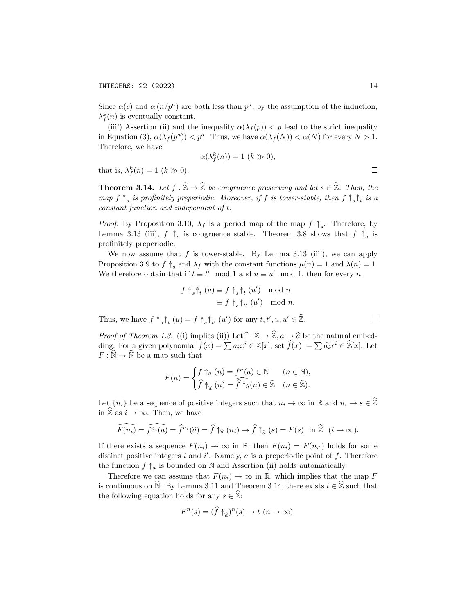Since  $\alpha(c)$  and  $\alpha(n/p^a)$  are both less than  $p^a$ , by the assumption of the induction,  $\lambda_f^k(n)$  is eventually constant.

(iii') Assertion (ii) and the inequality  $\alpha(\lambda_f(p)) < p$  lead to the strict inequality in Equation (3),  $\alpha(\lambda_f(p^a)) < p^a$ . Thus, we have  $\alpha(\lambda_f(N)) < \alpha(N)$  for every  $N > 1$ . Therefore, we have

$$
\alpha(\lambda_f^k(n)) = 1 \ (k \gg 0),
$$

that is,  $\lambda_f^k(n) = 1$   $(k \gg 0)$ .

**Theorem 3.14.** Let  $f : \hat{\mathbb{Z}} \to \hat{\mathbb{Z}}$  be congruence preserving and let  $s \in \hat{\mathbb{Z}}$ . Then, the map  $f \uparrow_s$  is profinitely preperiodic. Moreover, if f is tower-stable, then  $f \uparrow_s^* f_t$  is a constant function and independent of t.

*Proof.* By Proposition 3.10,  $\lambda_f$  is a period map of the map  $f \, \hat{} f_s$ . Therefore, by Lemma 3.13 (iii),  $f \uparrow_s$  is congruence stable. Theorem 3.8 shows that  $f \uparrow_s$  is profinitely preperiodic.

We now assume that  $f$  is tower-stable. By Lemma 3.13 (iii), we can apply Proposition 3.9 to  $f \uparrow_s$  and  $\lambda_f$  with the constant functions  $\mu(n) = 1$  and  $\lambda(n) = 1$ . We therefore obtain that if  $t \equiv t' \mod 1$  and  $u \equiv u' \mod 1$ , then for every n,

$$
f \uparrow_s \uparrow_t (u) \equiv f \uparrow_s \uparrow_t (u') \mod n
$$
  

$$
\equiv f \uparrow_s \uparrow_{t'} (u') \mod n.
$$

Thus, we have  $f \uparrow_s \uparrow_t (u) = f \uparrow_s \uparrow_{t'} (u')$  for any  $t, t', u, u' \in \hat{\mathbb{Z}}$ .

*Proof of Theorem 1.3.* ((i) implies (ii)) Let  $\widehat{\cdot} : \mathbb{Z} \to \widehat{\mathbb{Z}}$ ,  $a \mapsto \widehat{a}$  be the natural embedding. For a given polynomial  $f(x) = \sum a_i x^i \in \mathbb{Z}[x]$ , set  $\widehat{f}(x) := \sum \widehat{a_i} x^i \in \widehat{\mathbb{Z}}[x]$ . Let  $F:\widehat{\mathbb{N}}\to\widehat{\mathbb{N}}$  be a map such that

$$
F(n) = \begin{cases} f \uparrow_a (n) = f^n(a) \in \mathbb{N} & (n \in \mathbb{N}), \\ \widehat{f} \uparrow_{\widehat{a}} (n) = \widehat{f} \uparrow_{\widehat{a}} (n) \in \widehat{\mathbb{Z}} & (n \in \widehat{\mathbb{Z}}). \end{cases}
$$

Let  ${n_i}$  be a sequence of positive integers such that  $n_i \to \infty$  in  $\mathbb R$  and  $n_i \to s \in \hat{\mathbb Z}$ in  $\widehat{\mathbb{Z}}$  as  $i \to \infty$ . Then, we have

$$
\widehat{F(n_i)} = \widehat{f^{n_i}(a)} = \widehat{f}^{n_i}(\widehat{a}) = \widehat{f} \uparrow_{\widehat{a}} (n_i) \to \widehat{f} \uparrow_{\widehat{a}} (s) = F(s) \text{ in } \widehat{\mathbb{Z}} \ (i \to \infty).
$$

If there exists a sequence  $F(n_i) \to \infty$  in R, then  $F(n_i) = F(n_{i'})$  holds for some distinct positive integers  $i$  and  $i'$ . Namely,  $a$  is a preperiodic point of  $f$ . Therefore the function  $f \uparrow_a$  is bounded on N and Assertion (ii) holds automatically.

Therefore we can assume that  $F(n_i) \to \infty$  in R, which implies that the map F is continuous on  $\widehat{N}$ . By Lemma 3.11 and Theorem 3.14, there exists  $t \in \widehat{Z}$  such that the following equation holds for any  $s \in \hat{\mathbb{Z}}$ :

$$
F^{n}(s) = (\widehat{f} \uparrow_{\widehat{a}})^{n}(s) \to t \ (n \to \infty).
$$

 $\Box$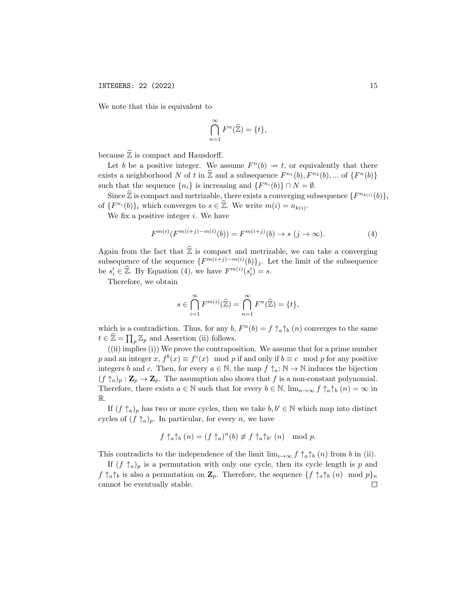We note that this is equivalent to

$$
\bigcap_{n=1}^{\infty} F^n(\widehat{\mathbb{Z}}) = \{t\},\
$$

because  $\widehat{\mathbb{Z}}$  is compact and Hausdorff.

Let b be a positive integer. We assume  $F^{n}(b) \rightarrow t$ , or equivalently that there exists a neighborhood N of t in  $\hat{\mathbb{Z}}$  and a subsequence  $F^{n_1}(b)$ ,  $F^{n_2}(b)$ , ... of  $\{F^{n}(b)\}$ such that the sequence  $\{n_i\}$  is increasing and  $\{F^{n_i}(b)\}\cap N=\emptyset$ .

Since  $\widehat{\mathbb{Z}}$  is compact and metrizable, there exists a converging subsequence  $\{F^{n_{k(i)}}(b)\}_i$ of  $\{F^{n_i}(b)\}_i$  which converges to  $s \in \hat{\mathbb{Z}}$ . We write  $m(i) = n_{k(i)}$ .

We fix a positive integer  $i$ . We have

$$
F^{m(i)}(F^{m(i+j)-m(i)}(b)) = F^{m(i+j)}(b) \to s \ (j \to \infty).
$$
 (4)

Again from the fact that  $\widehat{\mathbb{Z}}$  is compact and metrizable, we can take a converging subsequence of the sequence  $\{F^{m(i+j)-m(i)}(b)\}_j$ . Let the limit of the subsequence be  $s'_i \in \hat{\mathbb{Z}}$ . By Equation (4), we have  $F^{m(i)}(s'_i) = s$ .

Therefore, we obtain

$$
s \in \bigcap_{i=1}^{\infty} F^{m(i)}(\widehat{\mathbb{Z}}) = \bigcap_{n=1}^{\infty} F^{n}(\widehat{\mathbb{Z}}) = \{t\},\
$$

which is a contradiction. Thus, for any  $b, F^{n}(b) = f \uparrow_a \uparrow_b (n)$  converges to the same  $t \in \widehat{\mathbb{Z}} = \prod_p \mathbb{Z}_p$  and Assertion (ii) follows.

((ii) implies (i)) We prove the contraposition. We assume that for a prime number p and an integer x,  $f^b(x) \equiv f^c(x) \mod p$  if and only if  $b \equiv c \mod p$  for any positive integers b and c. Then, for every  $a \in \mathbb{N}$ , the map  $f \uparrow_a : \mathbb{N} \to \mathbb{N}$  induces the bijection  $(f \uparrow_a)_p : \mathbf{Z}_p \to \mathbf{Z}_p$ . The assumption also shows that f is a non-constant polynomial. Therefore, there exists  $a \in \mathbb{N}$  such that for every  $b \in \mathbb{N}$ ,  $\lim_{n \to \infty} f \uparrow_a \uparrow_b (n) = \infty$  in R.

If  $(f \uparrow_a)_p$  has two or more cycles, then we take  $b, b' \in \mathbb{N}$  which map into distinct cycles of  $(f \uparrow_a)_p$ . In particular, for every n, we have

$$
f \uparrow_a \uparrow_b (n) = (f \uparrow_a)^n(b) \not\equiv f \uparrow_a \uparrow_{b'} (n) \mod p.
$$

This contradicts to the independence of the limit  $\lim_{i\to\infty} f \uparrow_a \uparrow_b (n)$  from b in (ii).

If  $(f \uparrow_a)_p$  is a permutation with only one cycle, then its cycle length is p and  $f \uparrow_a \uparrow_b$  is also a permutation on  $\mathbf{Z}_p$ . Therefore, the sequence  $\{f \uparrow_a \uparrow_b (n) \mod p\}_n$ cannot be eventually stable. $\Box$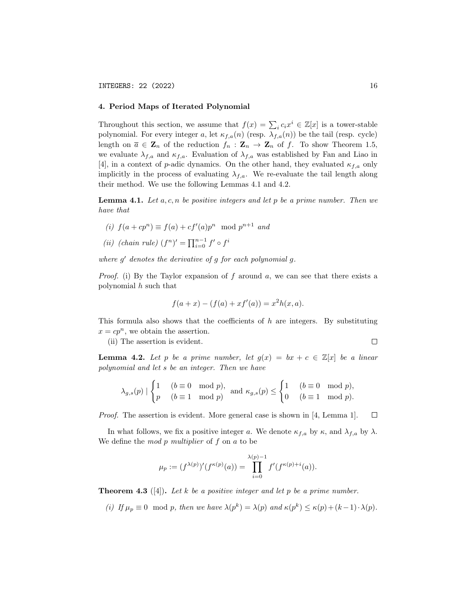### 4. Period Maps of Iterated Polynomial

Throughout this section, we assume that  $f(x) = \sum_i c_i x^i \in \mathbb{Z}[x]$  is a tower-stable polynomial. For every integer a, let  $\kappa_{f,a}(n)$  (resp.  $\lambda_{f,a}(n)$ ) be the tail (resp. cycle) length on  $\overline{a} \in \mathbf{Z}_n$  of the reduction  $f_n : \mathbf{Z}_n \to \mathbf{Z}_n$  of f. To show Theorem 1.5, we evaluate  $\lambda_{f,a}$  and  $\kappa_{f,a}$ . Evaluation of  $\lambda_{f,a}$  was established by Fan and Liao in [4], in a context of p-adic dynamics. On the other hand, they evaluated  $\kappa_{f,a}$  only implicitly in the process of evaluating  $\lambda_{f,a}$ . We re-evaluate the tail length along their method. We use the following Lemmas 4.1 and 4.2.

**Lemma 4.1.** Let  $a, c, n$  be positive integers and let p be a prime number. Then we have that

- (i)  $f(a + cp^n) \equiv f(a) + cf'(a)p^n \mod p^{n+1}$  and
- (ii) (chain rule)  $(f^n)' = \prod_{i=0}^{n-1} f' \circ f^i$

where  $g'$  denotes the derivative of  $g$  for each polynomial  $g$ .

*Proof.* (i) By the Taylor expansion of f around a, we can see that there exists a polynomial h such that

$$
f(a+x) - (f(a) + xf'(a)) = x^2h(x,a).
$$

This formula also shows that the coefficients of  $h$  are integers. By substituting  $x = cp^n$ , we obtain the assertion.

(ii) The assertion is evident.

 $\Box$ 

**Lemma 4.2.** Let p be a prime number, let  $g(x) = bx + c \in \mathbb{Z}[x]$  be a linear polynomial and let s be an integer. Then we have

$$
\lambda_{g,s}(p) | \begin{cases} 1 & (b \equiv 0 \mod p), \\ p & (b \equiv 1 \mod p) \end{cases} \text{ and } \kappa_{g,s}(p) \le \begin{cases} 1 & (b \equiv 0 \mod p), \\ 0 & (b \equiv 1 \mod p). \end{cases}
$$

Proof. The assertion is evident. More general case is shown in [4, Lemma 1].  $\Box$ 

In what follows, we fix a positive integer a. We denote  $\kappa_{f,a}$  by  $\kappa$ , and  $\lambda_{f,a}$  by  $\lambda$ . We define the *mod p multiplier* of f on a to be

$$
\mu_p := (f^{\lambda(p)})'(f^{\kappa(p)}(a)) = \prod_{i=0}^{\lambda(p)-1} f'(f^{\kappa(p)+i}(a)).
$$

**Theorem 4.3** ([4]). Let k be a positive integer and let p be a prime number.

(i) If  $\mu_p \equiv 0 \mod p$ , then we have  $\lambda(p^k) = \lambda(p)$  and  $\kappa(p^k) \leq \kappa(p) + (k-1) \cdot \lambda(p)$ .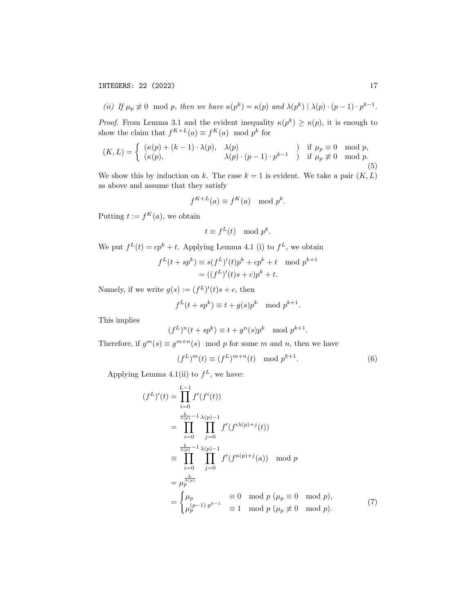INTEGERS: 22 (2022) 17

(ii) If 
$$
\mu_p \neq 0 \mod p
$$
, then we have  $\kappa(p^k) = \kappa(p) \text{ and } \lambda(p^k) | \lambda(p) \cdot (p-1) \cdot p^{k-1}$ .

*Proof.* From Lemma 3.1 and the evident inequality  $\kappa(p^k) \geq \kappa(p)$ , it is enough to show the claim that  $f^{K+L}(a) \equiv f^{K}(a) \mod p^{k}$  for

$$
(K, L) = \begin{cases} (\kappa(p) + (k-1) \cdot \lambda(p), & \lambda(p) \\ (\kappa(p), & \lambda(p) \cdot (p-1) \cdot p^{k-1} \end{cases} \text{ if } \mu_p \equiv 0 \mod p, \\ (5)
$$

We show this by induction on k. The case  $k = 1$  is evident. We take a pair  $(K, L)$ as above and assume that they satisfy

$$
f^{K+L}(a) \equiv f^K(a) \mod p^k.
$$

Putting  $t := f^K(a)$ , we obtain

$$
t \equiv f^L(t) \mod p^k.
$$

We put  $f^L(t) = cp^k + t$ . Applying Lemma 4.1 (i) to  $f^L$ , we obtain

$$
fL(t+spk) \equiv s(fL)'(t)pk + cpk + t \mod pk+1
$$

$$
= ((fL)'(t)s + c)pk + t.
$$

Namely, if we write  $g(s) := (f^L)'(t)s + c$ , then

$$
f^{L}(t+sp^{k}) \equiv t+g(s)p^{k} \mod p^{k+1}.
$$

This implies

$$
(fL)n(t+spk) \equiv t+gn(s)pk \mod pk+1.
$$

Therefore, if  $g^m(s) \equiv g^{m+n}(s) \mod p$  for some m and n, then we have

$$
(fL)m(t) \equiv (fL)m+n(t) \mod pk+1.
$$
 (6)

Applying Lemma 4.1(ii) to  $f^L$ , we have:

$$
(f^{L})'(t) = \prod_{i=0}^{L-1} f'(f^{i}(t))
$$
  
= 
$$
\prod_{i=0}^{\frac{L}{\lambda(p)}-1} \prod_{j=0}^{\lambda(p)-1} f'(f^{i\lambda(p)+j}(t))
$$
  
= 
$$
\prod_{i=0}^{\frac{L}{\lambda(p)}-1} \prod_{j=0}^{\lambda(p)-1} f'(f^{\kappa(p)+j}(a)) \mod p
$$
  
= 
$$
\mu_p^{\frac{L}{\lambda(p)}}
$$
  
= 
$$
\begin{cases} \mu_p \\ \mu_p^{(p-1)\cdot p^{k-1}} \equiv 0 \mod p \ (\mu_p \equiv 0 \mod p), \\ \mu_p^{(p-1)\cdot p^{k-1}} \equiv 1 \mod p \ (\mu_p \not\equiv 0 \mod p). \end{cases}
$$
 (7)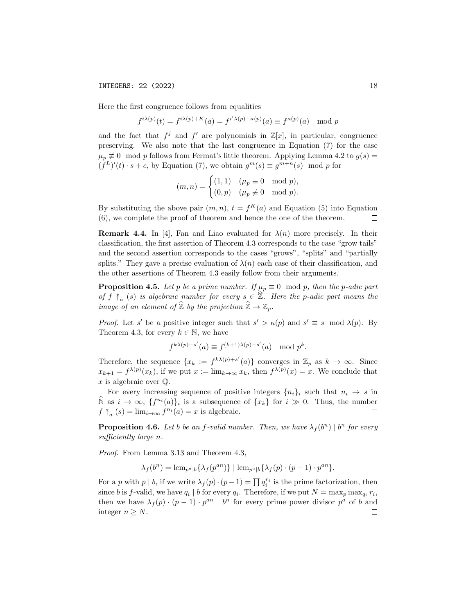Here the first congruence follows from equalities

$$
f^{i\lambda(p)}(t) = f^{i\lambda(p)+K}(a) = f^{i'\lambda(p)+\kappa(p)}(a) \equiv f^{\kappa(p)}(a) \mod p
$$

and the fact that  $f^j$  and  $f'$  are polynomials in  $\mathbb{Z}[x]$ , in particular, congruence preserving. We also note that the last congruence in Equation (7) for the case  $\mu_p \neq 0$  mod p follows from Fermat's little theorem. Applying Lemma 4.2 to  $g(s)$  =  $(f^L)'(t) \cdot s + c$ , by Equation (7), we obtain  $g^m(s) \equiv g^{m+n}(s) \mod p$  for

$$
(m, n) = \begin{cases} (1, 1) & (\mu_p \equiv 0 \mod p), \\ (0, p) & (\mu_p \not\equiv 0 \mod p). \end{cases}
$$

By substituting the above pair  $(m, n)$ ,  $t = f<sup>K</sup>(a)$  and Equation (5) into Equation (6), we complete the proof of theorem and hence the one of the theorem.  $\Box$ 

**Remark 4.4.** In [4], Fan and Liao evaluated for  $\lambda(n)$  more precisely. In their classification, the first assertion of Theorem 4.3 corresponds to the case "grow tails" and the second assertion corresponds to the cases "grows", "splits" and "partially splits." They gave a precise evaluation of  $\lambda(n)$  each case of their classification, and the other assertions of Theorem 4.3 easily follow from their arguments.

**Proposition 4.5.** Let p be a prime number. If  $\mu_p \equiv 0 \mod p$ , then the p-adic part of f  $\uparrow_a$  (s) is algebraic number for every  $s \in \widehat{\mathbb{Z}}$ . Here the p-adic part means the image of an element of  $\widehat{\mathbb{Z}}$  by the projection  $\widehat{\mathbb{Z}} \to \mathbb{Z}_p$ .

*Proof.* Let s' be a positive integer such that  $s' > \kappa(p)$  and  $s' \equiv s \mod \lambda(p)$ . By Theorem 4.3, for every  $k \in \mathbb{N}$ , we have

$$
f^{k\lambda(p)+s'}(a) \equiv f^{(k+1)\lambda(p)+s'}(a) \mod p^k.
$$

Therefore, the sequence  $\{x_k := f^{k\lambda(p)+s'}(a)\}\)$  converges in  $\mathbb{Z}_p$  as  $k \to \infty$ . Since  $x_{k+1} = f^{\lambda(p)}(x_k)$ , if we put  $x := \lim_{k \to \infty} x_k$ , then  $f^{\lambda(p)}(x) = x$ . We conclude that  $x$  is algebraic over  $\mathbb{Q}$ .

For every increasing sequence of positive integers  $\{n_i\}_i$  such that  $n_i \rightarrow s$  in  $\widehat{N}$  as  $i \to \infty$ ,  $\{f^{n_i}(a)\}_i$  is a subsequence of  $\{x_k\}$  for  $i \gg 0$ . Thus, the number  $f \uparrow_a (s) = \lim_{i \to \infty} f^{n_i}(a) = x$  is algebraic.  $\Box$ 

**Proposition 4.6.** Let b be an f-valid number. Then, we have  $\lambda_f(b^n) | b^n$  for every sufficiently large n.

Proof. From Lemma 3.13 and Theorem 4.3,

 $\lambda_f(b^n) = \text{lcm}_{p^a|b} \{\lambda_f(p^{an})\} | \text{lcm}_{p^a|b} \{\lambda_f(p) \cdot (p-1) \cdot p^{an}\}.$ 

For a p with p | b, if we write  $\lambda_f(p) \cdot (p-1) = \prod q_i^{r_i}$  is the prime factorization, then since b is f-valid, we have  $q_i | b$  for every  $q_i$ . Therefore, if we put  $N = \max_p \max_{q_i} r_i$ , then we have  $\lambda_f(p) \cdot (p-1) \cdot p^{an} \mid b^n$  for every prime power divisor  $p^a$  of b and integer  $n \geq N$ .  $\Box$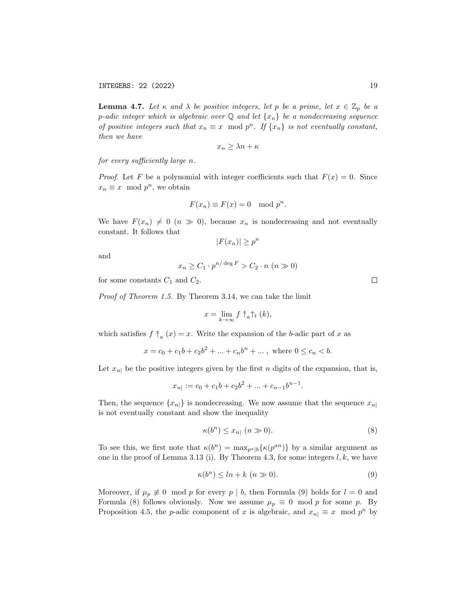**Lemma 4.7.** Let  $\kappa$  and  $\lambda$  be positive integers, let p be a prime, let  $x \in \mathbb{Z}_p$  be a p-adic integer which is algebraic over  $\mathbb Q$  and let  $\{x_n\}$  be a nondecreasing sequence of positive integers such that  $x_n \equiv x \mod p^n$ . If  $\{x_n\}$  is not eventually constant, then we have

$$
x_n \ge \lambda n + \kappa
$$

for every sufficiently large n.

*Proof.* Let F be a polynomial with integer coefficients such that  $F(x) = 0$ . Since  $x_n \equiv x \mod p^n$ , we obtain

$$
F(x_n) \equiv F(x) = 0 \mod p^n.
$$

We have  $F(x_n) \neq 0 \ (n \gg 0)$ , because  $x_n$  is nondecreasing and not eventually constant. It follows that

$$
|F(x_n)| \ge p^n
$$

and

$$
x_n \ge C_1 \cdot p^{n/\deg F} > C_2 \cdot n \ (n \gg 0)
$$

for some constants  $C_1$  and  $C_2$ .

Proof of Theorem 1.5. By Theorem 3.14, we can take the limit

$$
x=\lim_{k\to\infty}f\mathbin{\uparrow}_{a}\mathbin{\uparrow}_{t}(k),
$$

which satisfies  $f \uparrow_a (x) = x$ . Write the expansion of the b-adic part of x as

 $x = c_0 + c_1b + c_2b^2 + \dots + c_nb^n + \dots$ , where  $0 \le c_n < b$ .

Let  $x_{n}$  be the positive integers given by the first n digits of the expansion, that is,

$$
x_{n|} := c_0 + c_1b + c_2b^2 + \dots + c_{n-1}b^{n-1}.
$$

Then, the sequence  $\{x_{n}\}\$ is nondecreasing. We now assume that the sequence  $x_{n}$ is not eventually constant and show the inequality

$$
\kappa(b^n) \le x_{n|} \quad (n \gg 0). \tag{8}
$$

To see this, we first note that  $\kappa(b^n) = \max_{p^a \mid b} {\kappa(p^{an})}$  by a similar argument as one in the proof of Lemma 3.13 (i). By Theorem 4.3, for some integers  $l, k$ , we have

$$
\kappa(b^n) \leq ln + k \ (n \gg 0). \tag{9}
$$

Moreover, if  $\mu_p \neq 0 \mod p$  for every  $p \mid b$ , then Formula (9) holds for  $l = 0$  and Formula (8) follows obviously. Now we assume  $\mu_p \equiv 0 \mod p$  for some p. By Proposition 4.5, the *p*-adic component of x is algebraic, and  $x_{n} \equiv x \mod p^{n}$  by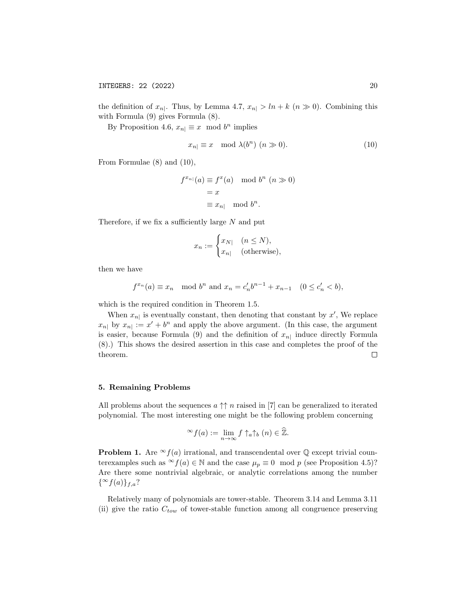the definition of  $x_{n}$ . Thus, by Lemma 4.7,  $x_{n} > ln + k$   $(n \gg 0)$ . Combining this with Formula (9) gives Formula (8).

By Proposition 4.6,  $x_{n} \equiv x \mod b^{n}$  implies

$$
x_{n} \equiv x \mod \lambda(b^{n}) \ (n \gg 0). \tag{10}
$$

From Formulae (8) and (10),

$$
f^{x_{n|}}(a) \equiv f^x(a) \mod b^n \ (n \gg 0)
$$

$$
= x
$$

$$
\equiv x_{n|} \mod b^n.
$$

Therefore, if we fix a sufficiently large  $N$  and put

$$
x_n := \begin{cases} x_{N|} & (n \le N), \\ x_{n|} & (\text{otherwise}), \end{cases}
$$

then we have

$$
f^{x_n}(a) \equiv x_n \mod b^n
$$
 and  $x_n = c'_n b^{n-1} + x_{n-1} \quad (0 \le c'_n < b),$ 

which is the required condition in Theorem 1.5.

When  $x_{n}$  is eventually constant, then denoting that constant by  $x'$ , We replace  $x_{n}$  by  $x_{n} := x' + b^{n}$  and apply the above argument. (In this case, the argument is easier, because Formula (9) and the definition of  $x_{n}$  induce directly Formula (8).) This shows the desired assertion in this case and completes the proof of the theorem.  $\Box$ 

### 5. Remaining Problems

All problems about the sequences  $a \uparrow\uparrow n$  raised in [7] can be generalized to iterated polynomial. The most interesting one might be the following problem concerning

$$
{}^{\infty}f(a) := \lim_{n \to \infty} f \uparrow_a \uparrow_b (n) \in \widehat{\mathbb{Z}}.
$$

**Problem 1.** Are  $\infty$  *f*(*a*) irrational, and transcendental over  $\mathbb Q$  except trivial counterexamples such as  $\infty f(a) \in \mathbb{N}$  and the case  $\mu_p \equiv 0 \mod p$  (see Proposition 4.5)? Are there some nontrivial algebraic, or analytic correlations among the number  $\{\infty f(a)\}_{f,a}$ ?

Relatively many of polynomials are tower-stable. Theorem 3.14 and Lemma 3.11 (ii) give the ratio  $C_{tow}$  of tower-stable function among all congruence preserving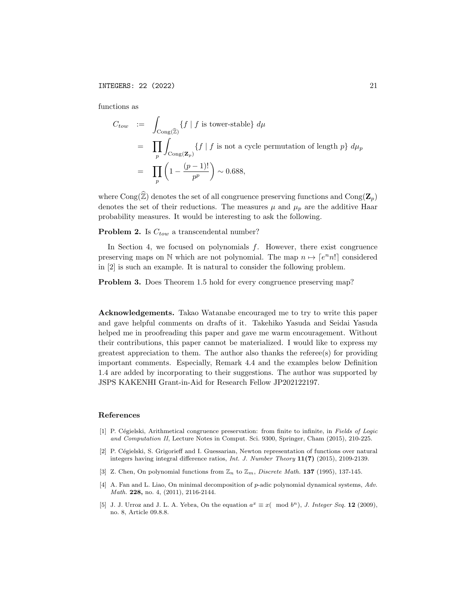functions as

$$
C_{tow} := \int_{\text{Cong}(\widehat{\mathbb{Z}})} \{f \mid f \text{ is tower-stable}\} d\mu
$$
  
= 
$$
\prod_{p} \int_{\text{Cong}(\mathbf{Z}_p)} \{f \mid f \text{ is not a cycle permutation of length } p\} d\mu_p
$$
  
= 
$$
\prod_{p} \left(1 - \frac{(p-1)!}{p^p}\right) \sim 0.688,
$$

where Cong( $\widehat{\mathbb{Z}}$ ) denotes the set of all congruence preserving functions and Cong( $\mathbf{Z}_p$ ) denotes the set of their reductions. The measures  $\mu$  and  $\mu_p$  are the additive Haar probability measures. It would be interesting to ask the following.

**Problem 2.** Is  $C_{tow}$  a transcendental number?

In Section 4, we focused on polynomials  $f$ . However, there exist congruence preserving maps on N which are not polynomial. The map  $n \mapsto [e^n n!]$  considered in [2] is such an example. It is natural to consider the following problem.

Problem 3. Does Theorem 1.5 hold for every congruence preserving map?

Acknowledgements. Takao Watanabe encouraged me to try to write this paper and gave helpful comments on drafts of it. Takehiko Yasuda and Seidai Yasuda helped me in proofreading this paper and gave me warm encouragement. Without their contributions, this paper cannot be materialized. I would like to express my greatest appreciation to them. The author also thanks the referee(s) for providing important comments. Especially, Remark 4.4 and the examples below Definition 1.4 are added by incorporating to their suggestions. The author was supported by JSPS KAKENHI Grant-in-Aid for Research Fellow JP202122197.

#### References

- [1] P. Cégielski, Arithmetical congruence preservation: from finite to infinite, in Fields of Logic and Computation II, Lecture Notes in Comput. Sci. 9300, Springer, Cham (2015), 210-225.
- [2] P. Cégielski, S. Grigorieff and I. Guessarian, Newton representation of functions over natural integers having integral difference ratios, Int. J. Number Theory 11(7) (2015), 2109-2139.
- [3] Z. Chen, On polynomial functions from  $\mathbb{Z}_n$  to  $\mathbb{Z}_m$ , Discrete Math. 137 (1995), 137-145.
- [4] A. Fan and L. Liao, On minimal decomposition of p-adic polynomial dynamical systems, Adv. Math. 228, no. 4, (2011), 2116-2144.
- [5] J. J. Urroz and J. L. A. Yebra, On the equation  $a^x \equiv x \pmod{b^n}$ , J. Integer Seq. 12 (2009), no. 8, Article 09.8.8.